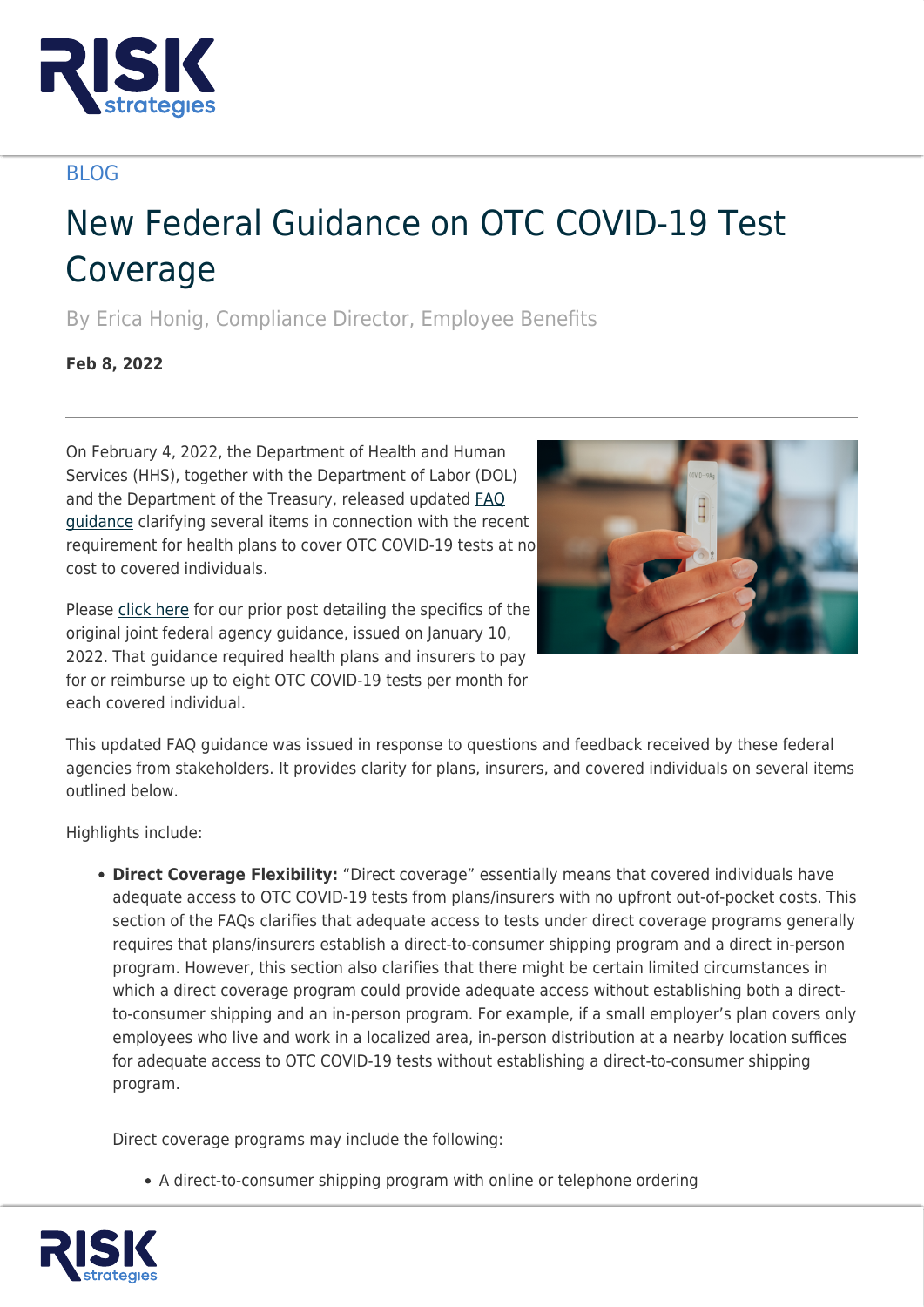

## BLOG

## New Federal Guidance on OTC COVID-19 Test Coverage

By Erica Honig, Compliance Director, Employee Benefits

**Feb 8, 2022**

On February 4, 2022, the Department of Health and Human Services (HHS), together with the Department of Labor (DOL) and the Department of the Treasury, released updated [FAQ](https://www.dol.gov/sites/dolgov/files/EBSA/about-ebsa/our-activities/resource-center/faqs/aca-part-52.pdf) [guidance](https://www.dol.gov/sites/dolgov/files/EBSA/about-ebsa/our-activities/resource-center/faqs/aca-part-52.pdf) clarifying several items in connection with the recent requirement for health plans to cover OTC COVID-19 tests at no cost to covered individuals.



Please [click here](https://www.risk-strategies.com/knowledge-center/article/health-plan-coverage-for-otc-covid-19-tests) for our prior post detailing the specifics of the original joint federal agency guidance, issued on January 10, 2022. That guidance required health plans and insurers to pay for or reimburse up to eight OTC COVID-19 tests per month for each covered individual.

This updated FAQ guidance was issued in response to questions and feedback received by these federal agencies from stakeholders. It provides clarity for plans, insurers, and covered individuals on several items outlined below.

Highlights include:

**Direct Coverage Flexibility:** "Direct coverage" essentially means that covered individuals have adequate access to OTC COVID-19 tests from plans/insurers with no upfront out-of-pocket costs. This section of the FAQs clarifies that adequate access to tests under direct coverage programs generally requires that plans/insurers establish a direct-to-consumer shipping program and a direct in-person program. However, this section also clarifies that there might be certain limited circumstances in which a direct coverage program could provide adequate access without establishing both a directto-consumer shipping and an in-person program. For example, if a small employer's plan covers only employees who live and work in a localized area, in-person distribution at a nearby location suffices for adequate access to OTC COVID-19 tests without establishing a direct-to-consumer shipping program.

Direct coverage programs may include the following:

A direct-to-consumer shipping program with online or telephone ordering

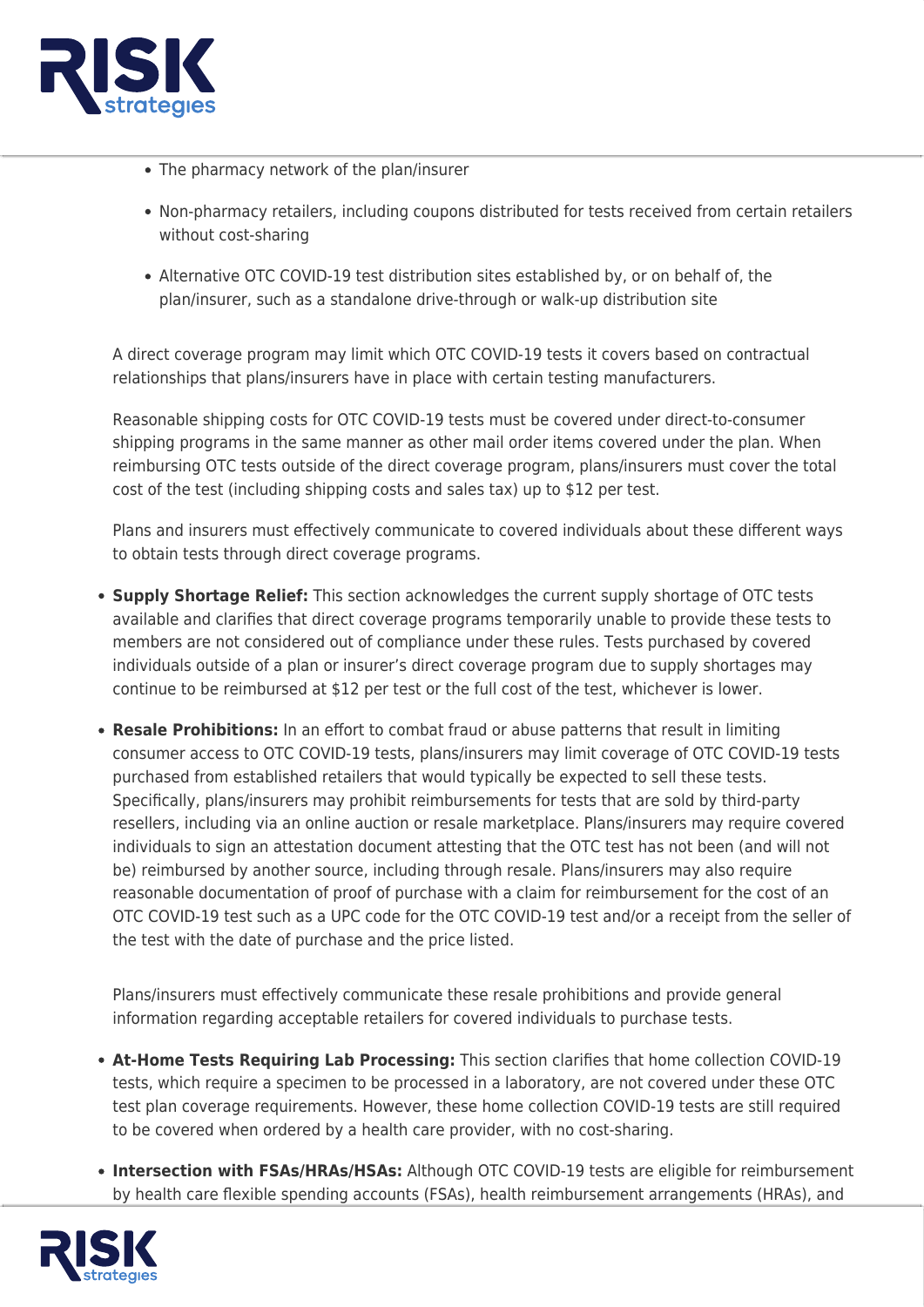

- The pharmacy network of the plan/insurer
- Non-pharmacy retailers, including coupons distributed for tests received from certain retailers without cost-sharing
- Alternative OTC COVID-19 test distribution sites established by, or on behalf of, the plan/insurer, such as a standalone drive-through or walk-up distribution site

A direct coverage program may limit which OTC COVID-19 tests it covers based on contractual relationships that plans/insurers have in place with certain testing manufacturers.

Reasonable shipping costs for OTC COVID-19 tests must be covered under direct-to-consumer shipping programs in the same manner as other mail order items covered under the plan. When reimbursing OTC tests outside of the direct coverage program, plans/insurers must cover the total cost of the test (including shipping costs and sales tax) up to \$12 per test.

Plans and insurers must effectively communicate to covered individuals about these different ways to obtain tests through direct coverage programs.

- **Supply Shortage Relief:** This section acknowledges the current supply shortage of OTC tests available and clarifies that direct coverage programs temporarily unable to provide these tests to members are not considered out of compliance under these rules. Tests purchased by covered individuals outside of a plan or insurer's direct coverage program due to supply shortages may continue to be reimbursed at \$12 per test or the full cost of the test, whichever is lower.
- **Resale Prohibitions:** In an effort to combat fraud or abuse patterns that result in limiting consumer access to OTC COVID-19 tests, plans/insurers may limit coverage of OTC COVID-19 tests purchased from established retailers that would typically be expected to sell these tests. Specifically, plans/insurers may prohibit reimbursements for tests that are sold by third-party resellers, including via an online auction or resale marketplace. Plans/insurers may require covered individuals to sign an attestation document attesting that the OTC test has not been (and will not be) reimbursed by another source, including through resale. Plans/insurers may also require reasonable documentation of proof of purchase with a claim for reimbursement for the cost of an OTC COVID-19 test such as a UPC code for the OTC COVID-19 test and/or a receipt from the seller of the test with the date of purchase and the price listed.

Plans/insurers must effectively communicate these resale prohibitions and provide general information regarding acceptable retailers for covered individuals to purchase tests.

- **At-Home Tests Requiring Lab Processing:** This section clarifies that home collection COVID-19 tests, which require a specimen to be processed in a laboratory, are not covered under these OTC test plan coverage requirements. However, these home collection COVID-19 tests are still required to be covered when ordered by a health care provider, with no cost-sharing.
- **Intersection with FSAs/HRAs/HSAs:** Although OTC COVID-19 tests are eligible for reimbursement by health care flexible spending accounts (FSAs), health reimbursement arrangements (HRAs), and